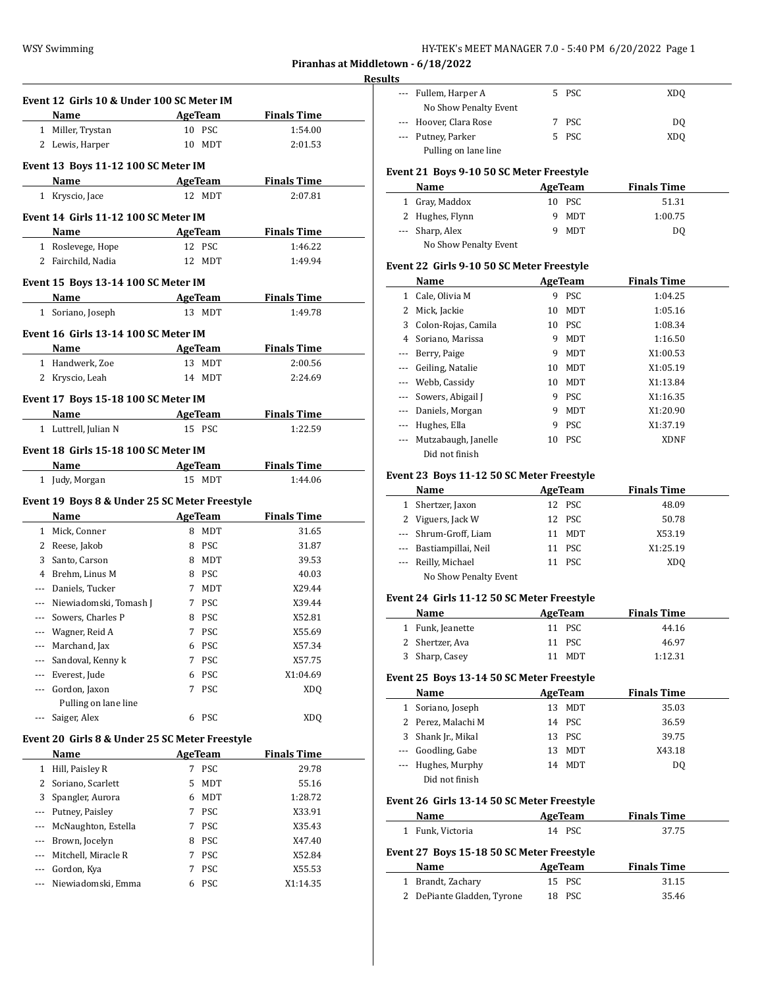| HY-TEK's MEET MANAGER 7.0 - 5:40 PM  6/20/2022  Page 1 |  |  |
|--------------------------------------------------------|--|--|
|--------------------------------------------------------|--|--|

**Piranhas at Middletown - 6/18/2022**

|            | Event 12 Girls 10 & Under 100 SC Meter IM      |                         |                             |
|------------|------------------------------------------------|-------------------------|-----------------------------|
|            | Name                                           | <b>AgeTeam</b>          | <b>Finals Time</b>          |
|            | 1 Miller, Trystan                              | 10 PSC                  | 1:54.00                     |
|            | 2 Lewis, Harper                                | 10 MDT                  | 2:01.53                     |
|            |                                                |                         |                             |
|            | Event 13 Boys 11-12 100 SC Meter IM            |                         |                             |
|            | Name AgeTeam                                   |                         | <b>Finals Time</b>          |
|            | 1 Kryscio, Jace                                | 12 MDT                  | 2:07.81                     |
|            | Event 14 Girls 11-12 100 SC Meter IM           |                         |                             |
|            | <b>Example 21 AgeTeam</b><br>Name              |                         | <b>Finals Time</b>          |
|            | 1 Roslevege, Hope                              | 12 PSC                  | 1:46.22                     |
|            | 2 Fairchild, Nadia                             | 12 MDT                  | 1:49.94                     |
|            |                                                |                         |                             |
|            | Event 15 Boys 13-14 100 SC Meter IM            |                         |                             |
|            | Name AgeTeam                                   | 13 MDT                  | <b>Finals Time</b>          |
|            | 1 Soriano, Joseph                              |                         | 1:49.78                     |
|            | Event 16 Girls 13-14 100 SC Meter IM           |                         |                             |
|            | Name                                           | <b>AgeTeam</b>          | <b>Finals Time</b>          |
|            | 1 Handwerk, Zoe                                | 13 MDT                  | 2:00.56                     |
|            | 2 Kryscio, Leah                                | 14 MDT                  | 2:24.69                     |
|            | Event 17 Boys 15-18 100 SC Meter IM            |                         |                             |
|            | Name AgeTeam                                   |                         | <b>Finals Time</b>          |
|            | 1 Luttrell, Julian N                           | 15 PSC                  | 1:22.59                     |
|            |                                                |                         |                             |
|            | Event 18 Girls 15-18 100 SC Meter IM           |                         |                             |
|            | Name                                           | AgeTeam                 | <b>Finals Time</b>          |
|            |                                                |                         |                             |
|            | 1 Judy, Morgan                                 | 15 MDT                  | 1:44.06                     |
|            |                                                |                         |                             |
|            | Event 19 Boys 8 & Under 25 SC Meter Freestyle  |                         |                             |
|            | Name                                           | <b>AgeTeam</b><br>8 MDT | <b>Finals Time</b><br>31.65 |
|            | 1 Mick, Conner<br>2 Reese, Jakob               | 8 PSC                   | 31.87                       |
|            | 3 Santo, Carson                                | 8 MDT                   | 39.53                       |
|            | 4 Brehm, Linus M                               | 8 PSC                   | 40.03                       |
|            | --- Daniels, Tucker                            | 7 MDT                   | X29.44                      |
|            | --- Niewiadomski, Tomash J                     | 7 PSC                   | X39.44                      |
| $---$      | Sowers, Charles P                              | 8 PSC                   | X52.81                      |
| ---        | Wagner, Reid A                                 | 7<br>PSC                | X55.69                      |
|            | --- Marchand, Jax                              | PSC<br>6                | X57.34                      |
| ---        | Sandoval, Kenny k                              | PSC<br>7                | X57.75                      |
| ---        | Everest, Jude                                  | <b>PSC</b><br>6         | X1:04.69                    |
| ---        | Gordon, Jaxon                                  | PSC<br>7                | XDQ                         |
|            | Pulling on lane line                           |                         |                             |
|            | Saiger, Alex                                   | <b>PSC</b><br>6         | <b>XDQ</b>                  |
|            |                                                |                         |                             |
|            | Event 20 Girls 8 & Under 25 SC Meter Freestyle |                         |                             |
|            | Name                                           | <b>AgeTeam</b>          | <b>Finals Time</b>          |
| 1          | Hill, Paisley R                                | PSC<br>7                | 29.78                       |
| 2          | Soriano, Scarlett                              | 5<br>MDT                | 55.16                       |
| 3          | Spangler, Aurora                               | MDT<br>6                | 1:28.72                     |
| ---        | Putney, Paisley                                | PSC<br>7                | X33.91                      |
| ---        | McNaughton, Estella                            | PSC<br>7                | X35.43                      |
|            | --- Brown, Jocelyn                             | <b>PSC</b><br>8         | X47.40                      |
| ---<br>--- | Mitchell, Miracle R<br>Gordon, Kya             | PSC<br>7<br>PSC<br>7    | X52.84<br>X55.53            |

| esults |                        |    |       |     |
|--------|------------------------|----|-------|-----|
|        | --- Fullem, Harper A   |    | 5 PSC | XDO |
|        | No Show Penalty Event  |    |       |     |
|        | --- Hoover, Clara Rose |    | PSC.  | DO. |
|        | --- Putney, Parker     | 5. | PSC   | XDO |
|        | Pulling on lane line   |    |       |     |

## **Event 21 Boys 9-10 50 SC Meter Freestyle**

| Name                  | AgeTeam | <b>Finals Time</b> |
|-----------------------|---------|--------------------|
| 1 Gray, Maddox        | 10 PSC  | 51.31              |
| 2 Hughes, Flynn       | 9 MDT   | 1:00.75            |
| --- Sharp, Alex       | 9 MDT   | DO                 |
| No Show Penalty Event |         |                    |

### **Event 22 Girls 9-10 50 SC Meter Freestyle**

|          | Name                    |    | AgeTeam    | <b>Finals Time</b> |  |
|----------|-------------------------|----|------------|--------------------|--|
| 1        | Cale, Olivia M          | 9  | <b>PSC</b> | 1:04.25            |  |
| 2        | Mick, Jackie            | 10 | <b>MDT</b> | 1:05.16            |  |
| 3        | Colon-Rojas, Camila     |    | 10 PSC     | 1:08.34            |  |
| 4        | Soriano, Marissa        | 9  | <b>MDT</b> | 1:16.50            |  |
| $\cdots$ | Berry, Paige            | 9  | <b>MDT</b> | X1:00.53           |  |
| $\cdots$ | Geiling, Natalie        | 10 | <b>MDT</b> | X1:05.19           |  |
|          | --- Webb, Cassidy       | 10 | <b>MDT</b> | X1:13.84           |  |
|          | --- Sowers, Abigail J   | 9  | PSC.       | X1:16.35           |  |
|          | --- Daniels, Morgan     | 9  | <b>MDT</b> | X1:20.90           |  |
|          | Hughes, Ella            | 9  | <b>PSC</b> | X1:37.19           |  |
|          | --- Mutzabaugh, Janelle | 10 | <b>PSC</b> | <b>XDNF</b>        |  |
|          | Did not finish          |    |            |                    |  |

## **Event 23 Boys 11-12 50 SC Meter Freestyle**

| Name                    | AgeTeam | <b>Finals Time</b> |
|-------------------------|---------|--------------------|
| 1 Shertzer, Jaxon       | 12 PSC  | 48.09              |
| 2 Viguers, Jack W       | 12 PSC  | 50.78              |
| --- Shrum-Groff, Liam   | 11 MDT  | X53.19             |
| --- Bastiampillai, Neil | 11 PSC  | X1:25.19           |
| --- Reilly, Michael     | 11 PSC  | XD <sub>0</sub>    |
| No Show Penalty Event   |         |                    |

### **Event 24 Girls 11-12 50 SC Meter Freestyle**

|  | <b>Name</b>      | AgeTeam | <b>Finals Time</b> |         |  |
|--|------------------|---------|--------------------|---------|--|
|  | 1 Funk, Jeanette | 11 PSC  |                    | 44.16   |  |
|  | 2 Shertzer, Ava  | 11 PSC  |                    | 46.97   |  |
|  | 3 Sharp, Casey   | 11 MDT  |                    | 1:12.31 |  |

### **Event 25 Boys 13-14 50 SC Meter Freestyle**

| Name               |    | AgeTeam    | <b>Finals Time</b> |  |
|--------------------|----|------------|--------------------|--|
| 1 Soriano, Joseph  | 13 | <b>MDT</b> | 35.03              |  |
| 2 Perez, Malachi M |    | 14 PSC     | 36.59              |  |
| 3 Shank Jr., Mikal |    | 13 PSC     | 39.75              |  |
| --- Goodling, Gabe | 13 | <b>MDT</b> | X43.18             |  |
| --- Hughes, Murphy | 14 | MDT        | DO.                |  |
| Did not finish     |    |            |                    |  |

#### **Event 26 Girls 13-14 50 SC Meter Freestyle**

| Name             | AgeTeam | <b>Finals Time</b> |  |
|------------------|---------|--------------------|--|
| 1 Funk, Victoria | 14 PSC  | 37.75              |  |

#### **Event 27 Boys 15-18 50 SC Meter Freestyle**

| Name                       | AgeTeam | <b>Finals Time</b> |  |
|----------------------------|---------|--------------------|--|
| 1 Brandt, Zachary          | 15 PSC  | 31.15              |  |
| 2 DePiante Gladden, Tyrone | 18 PSC  | 35.46              |  |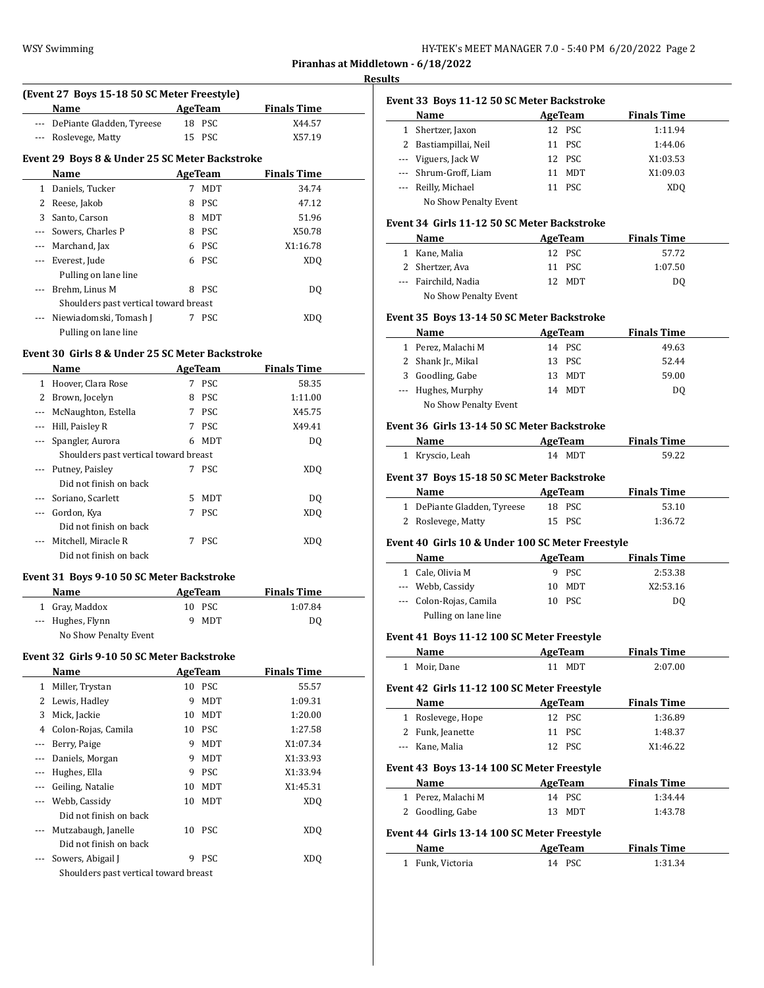| HY-TEK's MEET MANAGER 7.0 - 5:40 PM 6/20/2022 Page 2 |  |  |
|------------------------------------------------------|--|--|
|------------------------------------------------------|--|--|

**Piranhas at Middletown - 6/18/2022**

#### **Results**

| Name<br><b>Finals Time</b><br>AgeTeam |    |            |                                                                                                                                                                           |  |  |  |
|---------------------------------------|----|------------|---------------------------------------------------------------------------------------------------------------------------------------------------------------------------|--|--|--|
| DePiante Gladden, Tyreese             | 18 |            | X44.57                                                                                                                                                                    |  |  |  |
| Roslevege, Matty                      |    |            | X57.19                                                                                                                                                                    |  |  |  |
|                                       |    |            |                                                                                                                                                                           |  |  |  |
| Name                                  |    |            | <b>Finals Time</b>                                                                                                                                                        |  |  |  |
| Daniels, Tucker                       | 7  | <b>MDT</b> | 34.74                                                                                                                                                                     |  |  |  |
| Reese, Jakob                          | 8  | <b>PSC</b> | 47.12                                                                                                                                                                     |  |  |  |
| Santo, Carson                         | 8  | <b>MDT</b> | 51.96                                                                                                                                                                     |  |  |  |
| Sowers, Charles P                     | 8  | <b>PSC</b> | X50.78                                                                                                                                                                    |  |  |  |
| Marchand, Jax                         | 6  | <b>PSC</b> | X1:16.78                                                                                                                                                                  |  |  |  |
| Everest, Jude                         | 6  | <b>PSC</b> | XD <sub>0</sub>                                                                                                                                                           |  |  |  |
| Pulling on lane line                  |    |            |                                                                                                                                                                           |  |  |  |
| Brehm, Linus M                        | 8  | <b>PSC</b> | DO.                                                                                                                                                                       |  |  |  |
|                                       |    |            |                                                                                                                                                                           |  |  |  |
| Niewiadomski, Tomash J                | 7  | <b>PSC</b> | XDO                                                                                                                                                                       |  |  |  |
| Pulling on lane line                  |    |            |                                                                                                                                                                           |  |  |  |
|                                       |    |            | (Event 27 Boys 15-18 50 SC Meter Freestyle)<br><b>PSC</b><br>15 PSC<br>Event 29 Boys 8 & Under 25 SC Meter Backstroke<br>AgeTeam<br>Shoulders past vertical toward breast |  |  |  |

## **Event 30 Girls 8 & Under 25 SC Meter Backstroke**

|              | Name                                  |    | AgeTeam    | <b>Finals Time</b> |  |
|--------------|---------------------------------------|----|------------|--------------------|--|
| $\mathbf{1}$ | Hoover, Clara Rose                    | 7  | <b>PSC</b> | 58.35              |  |
| 2            | Brown, Jocelyn                        | 8  | PSC.       | 1:11.00            |  |
|              | McNaughton, Estella                   | 7  | PSC.       | X45.75             |  |
|              | Hill, Paisley R                       | 7  | <b>PSC</b> | X49.41             |  |
| ---          | Spangler, Aurora                      | 6  | MDT        | DQ                 |  |
|              | Shoulders past vertical toward breast |    |            |                    |  |
|              | --- Putney, Paisley                   | 7  | <b>PSC</b> | XDO                |  |
|              | Did not finish on back                |    |            |                    |  |
|              | Soriano, Scarlett                     | 5. | MDT        | DO.                |  |
|              | Gordon, Kya                           | 7  | PSC.       | XDO                |  |
|              | Did not finish on back                |    |            |                    |  |
|              | Mitchell, Miracle R                   | 7  | <b>PSC</b> | XD <sub>0</sub>    |  |
|              | Did not finish on back                |    |            |                    |  |

## **Event 31 Boys 9-10 50 SC Meter Backstroke**

| <b>Name</b>           | AgeTeam | <b>Finals Time</b> |
|-----------------------|---------|--------------------|
| 1 Gray, Maddox        | 10 PSC  | 1:07.84            |
| --- Hughes, Flynn     | MDT     | DO.                |
| No Show Penalty Event |         |                    |

#### **Event 32 Girls 9-10 50 SC Meter Backstroke**

|       | Name                                  |    | <b>AgeTeam</b> | <b>Finals Time</b> |
|-------|---------------------------------------|----|----------------|--------------------|
| 1     | Miller, Trystan                       |    | 10 PSC         | 55.57              |
| 2     | Lewis, Hadley                         | 9  | MDT            | 1:09.31            |
| 3     | Mick, Jackie                          | 10 | MDT            | 1:20.00            |
| 4     | Colon-Rojas, Camila                   | 10 | <b>PSC</b>     | 1:27.58            |
| ---   | Berry, Paige                          | 9  | MDT            | X1:07.34           |
| $---$ | Daniels, Morgan                       | 9  | <b>MDT</b>     | X1:33.93           |
|       | Hughes, Ella                          | 9  | <b>PSC</b>     | X1:33.94           |
|       | Geiling, Natalie                      | 10 | MDT            | X1:45.31           |
|       | Webb, Cassidy                         | 10 | MDT            | XD <sub>O</sub>    |
|       | Did not finish on back                |    |                |                    |
| $---$ | Mutzabaugh, Janelle                   |    | 10 PSC         | XD <sub>0</sub>    |
|       | Did not finish on back                |    |                |                    |
|       | Sowers, Abigail J                     | 9  | <b>PSC</b>     | XD <sub>0</sub>    |
|       | Shoulders past vertical toward breast |    |                |                    |
|       |                                       |    |                |                    |

|   | Event 33 Boys 11-12 50 SC Meter Backstroke |    |            |                    |  |
|---|--------------------------------------------|----|------------|--------------------|--|
|   | Name                                       |    | AgeTeam    | <b>Finals Time</b> |  |
| 1 | Shertzer, Jaxon                            |    | 12 PSC     | 1:11.94            |  |
|   | 2 Bastiampillai, Neil                      |    | 11 PSC     | 1:44.06            |  |
|   | --- Viguers, Jack W                        |    | 12 PSC     | X1:03.53           |  |
|   | --- Shrum-Groff, Liam                      | 11 | <b>MDT</b> | X1:09.03           |  |
|   | --- Reilly, Michael                        |    | 11 PSC     | XD <sub>0</sub>    |  |
|   | No Show Penalty Event                      |    |            |                    |  |

#### **Event 34 Girls 11-12 50 SC Meter Backstroke**

| <b>Name</b>           | AgeTeam | <b>Finals Time</b> |
|-----------------------|---------|--------------------|
| 1 Kane, Malia         | 12 PSC  | 57.72              |
| 2 Shertzer, Ava       | 11 PSC  | 1:07.50            |
| --- Fairchild, Nadia  | 12 MDT  | DO                 |
| No Show Penalty Event |         |                    |

## **Event 35 Boys 13-14 50 SC Meter Backstroke**

| Name                  | AgeTeam | <b>Finals Time</b> |
|-----------------------|---------|--------------------|
| 1 Perez, Malachi M    | 14 PSC  | 49.63              |
| 2 Shank Jr., Mikal    | 13 PSC  | 52.44              |
| 3 Goodling, Gabe      | 13 MDT  | 59.00              |
| --- Hughes, Murphy    | 14 MDT  | D <sub>0</sub>     |
| No Show Penalty Event |         |                    |

### **Event 36 Girls 13-14 50 SC Meter Backstroke**

|          | Name                                             |    | AgeTeam        | <b>Finals Time</b> |
|----------|--------------------------------------------------|----|----------------|--------------------|
|          | 1 Kryscio, Leah                                  |    | 14 MDT         | 59.22              |
|          | Event 37 Boys 15-18 50 SC Meter Backstroke       |    |                |                    |
|          | Name<br>AgeTeam                                  |    |                | <b>Finals Time</b> |
|          | 1 DePiante Gladden, Tyreese                      |    | 18 PSC         | 53.10              |
|          | 2 Roslevege, Matty                               |    | 15 PSC         | 1:36.72            |
|          | Event 40 Girls 10 & Under 100 SC Meter Freestyle |    |                |                    |
|          | Name                                             |    | AgeTeam        | <b>Finals Time</b> |
|          | 1 Cale, Olivia M                                 |    | 9 PSC          | 2:53.38            |
|          | --- Webb, Cassidy                                | 10 | MDT            | X2:53.16           |
|          | --- Colon-Rojas, Camila                          |    | 10 PSC         | D <sub>0</sub>     |
|          | Pulling on lane line                             |    |                |                    |
|          | Event 41 Boys 11-12 100 SC Meter Freestyle       |    |                |                    |
|          | Name                                             |    | <b>AgeTeam</b> | <b>Finals Time</b> |
|          | 1 Moir, Dane                                     |    | 11 MDT         | 2:07.00            |
|          | Event 42 Girls 11-12 100 SC Meter Freestyle      |    |                |                    |
|          | Name                                             |    | AgeTeam        | <b>Finals Time</b> |
|          | 1 Roslevege, Hope                                |    | 12 PSC         | 1:36.89            |
|          | 2 Funk, Jeanette                                 |    | 11 PSC         | 1:48.37            |
| $\cdots$ | Kane, Malia                                      |    | 12 PSC         | X1:46.22           |
|          | Event 43 Boys 13-14 100 SC Meter Freestyle       |    |                |                    |
|          | Name                                             |    | AgeTeam        | <b>Finals Time</b> |
|          | 1 Perez, Malachi M                               |    | 14 PSC         | 1:34.44            |
| 2        | Goodling, Gabe                                   | 13 | MDT            | 1:43.78            |

# **Event 44 Girls 13-14 100 SC Meter Freestyle**

| Name             | AgeTeam | <b>Finals Time</b> |  |
|------------------|---------|--------------------|--|
| 1 Funk, Victoria | 14 PSC  | 1:31.34            |  |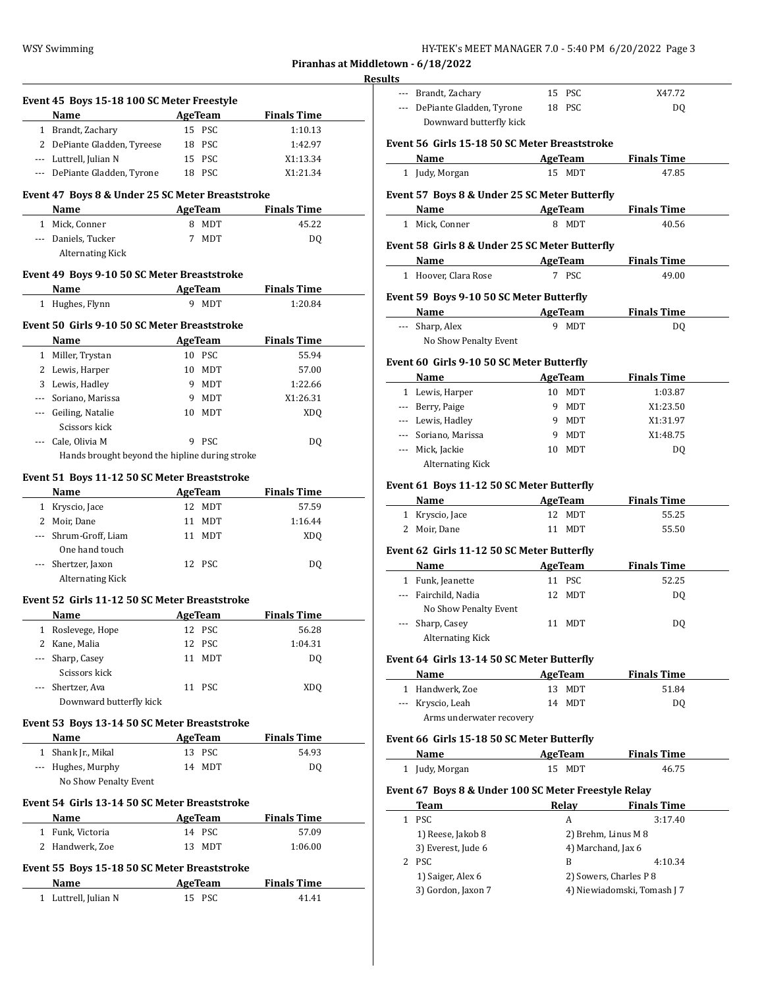| HY-TEK's MEET MANAGER 7.0 - 5:40 PM  6/20/2022  Page 3 |  |  |  |
|--------------------------------------------------------|--|--|--|
|--------------------------------------------------------|--|--|--|

**Piranhas at Middletown - 6/18/2022**

|     | Event 45 Boys 15-18 100 SC Meter Freestyle                       |   |                |                    |  |
|-----|------------------------------------------------------------------|---|----------------|--------------------|--|
|     | Name                                                             |   | <b>AgeTeam</b> | <b>Finals Time</b> |  |
|     | 1 Brandt, Zachary                                                |   | 15 PSC         | 1:10.13            |  |
|     | 2 DePiante Gladden, Tyreese                                      |   | 18 PSC         | 1:42.97            |  |
|     | --- Luttrell, Julian N                                           |   | 15 PSC         | X1:13.34           |  |
|     | --- DePiante Gladden, Tyrone                                     |   | 18 PSC         | X1:21.34           |  |
|     |                                                                  |   |                |                    |  |
|     | Event 47 Boys 8 & Under 25 SC Meter Breaststroke<br>Name AgeTeam |   |                | <b>Finals Time</b> |  |
|     |                                                                  |   |                |                    |  |
|     | 1 Mick, Conner                                                   |   | 8 MDT          | 45.22              |  |
|     | --- Daniels, Tucker                                              | 7 | MDT            | DQ                 |  |
|     | <b>Alternating Kick</b>                                          |   |                |                    |  |
|     | Event 49 Boys 9-10 50 SC Meter Breaststroke                      |   |                |                    |  |
|     | Name AgeTeam                                                     |   |                | <b>Finals Time</b> |  |
|     | 1 Hughes, Flynn                                                  |   | 9 MDT          | 1:20.84            |  |
|     | Event 50 Girls 9-10 50 SC Meter Breaststroke                     |   |                |                    |  |
|     | Name                                                             |   | AgeTeam        | <b>Finals Time</b> |  |
|     | 1 Miller, Trystan                                                |   | 10 PSC         | 55.94              |  |
|     | 2 Lewis, Harper                                                  |   | 10 MDT         | 57.00              |  |
|     | 3 Lewis, Hadley                                                  |   | 9 MDT          | 1:22.66            |  |
|     | --- Soriano, Marissa                                             |   | 9 MDT          | X1:26.31           |  |
|     | --- Geiling, Natalie                                             |   | 10 MDT         | XDQ                |  |
|     | Scissors kick                                                    |   |                |                    |  |
|     | --- Cale, Olivia M                                               |   | 9 PSC          | DQ                 |  |
|     | Hands brought beyond the hipline during stroke                   |   |                |                    |  |
|     |                                                                  |   |                |                    |  |
|     | Event 51 Boys 11-12 50 SC Meter Breaststroke                     |   |                |                    |  |
|     | Name                                                             |   | <b>AgeTeam</b> | <b>Finals Time</b> |  |
|     | 1 Kryscio, Jace                                                  |   | 12 MDT         | 57.59              |  |
|     | 2 Moir, Dane                                                     |   | 11 MDT         | 1:16.44            |  |
|     | --- Shrum-Groff, Liam                                            |   | 11 MDT         | XDQ                |  |
|     | One hand touch                                                   |   |                |                    |  |
|     | --- Shertzer, Jaxon                                              |   | 12 PSC         | DQ                 |  |
|     | <b>Alternating Kick</b>                                          |   |                |                    |  |
|     | Event 52 Girls 11-12 50 SC Meter Breaststroke                    |   |                |                    |  |
|     | Name                                                             |   | AgeTeam        | <b>Finals Time</b> |  |
|     | 1 Roslevege, Hope                                                |   | 12 PSC         | 56.28              |  |
|     | 2 Kane, Malia                                                    |   | 12 PSC         | 1:04.31            |  |
|     | --- Sharp, Casey                                                 |   | 11 MDT         | DQ                 |  |
|     | Scissors kick                                                    |   |                |                    |  |
| --- | Shertzer, Ava                                                    |   | 11 PSC         | XDQ                |  |
|     | Downward butterfly kick                                          |   |                |                    |  |
|     | Event 53 Boys 13-14 50 SC Meter Breaststroke                     |   |                |                    |  |
|     | Name                                                             |   | <b>AgeTeam</b> | <u>Finals Time</u> |  |
|     | 1 Shank Jr., Mikal                                               |   | 13 PSC         | 54.93              |  |
|     | --- Hughes, Murphy                                               |   | 14 MDT         | DQ                 |  |
|     | No Show Penalty Event                                            |   |                |                    |  |
|     |                                                                  |   |                |                    |  |
|     | Event 54 Girls 13-14 50 SC Meter Breaststroke                    |   |                |                    |  |
|     | <b>Name</b>                                                      |   | AgeTeam        | <b>Finals Time</b> |  |
|     | 1 Funk, Victoria                                                 |   | 14 PSC         | 57.09              |  |
|     | 2 Handwerk, Zoe                                                  |   | 13 MDT         | 1:06.00            |  |
|     | Event 55 Boys 15-18 50 SC Meter Breaststroke                     |   |                |                    |  |
|     | Name                                                             |   | <b>AgeTeam</b> | <b>Finals Time</b> |  |
|     | 1 Luttrell, Julian N                                             |   | 15 PSC         | 41.41              |  |
|     |                                                                  |   |                |                    |  |

| <b>Results</b> |                                                                |                    |                        |
|----------------|----------------------------------------------------------------|--------------------|------------------------|
|                | --- Brandt, Zachary                                            | 15 PSC             | X47.72                 |
|                | --- DePiante Gladden, Tyrone<br>Downward butterfly kick        | 18 PSC             | DQ                     |
|                | Event 56 Girls 15-18 50 SC Meter Breaststroke                  |                    |                        |
|                | Name                                                           | AgeTeam            | <b>Finals Time</b>     |
|                | 1 Judy, Morgan                                                 | 15 MDT             | 47.85                  |
|                | Event 57 Boys 8 & Under 25 SC Meter Butterfly                  |                    |                        |
|                | Name AgeTeam                                                   |                    | <b>Finals Time</b>     |
|                | 1 Mick, Conner                                                 | 8 MDT              | 40.56                  |
|                | Event 58 Girls 8 & Under 25 SC Meter Butterfly<br>Name AgeTeam |                    | <b>Finals Time</b>     |
|                | 1 Hoover, Clara Rose                                           | 7 PSC              | 49.00                  |
|                | Event 59 Boys 9-10 50 SC Meter Butterfly                       |                    |                        |
|                | Name                                                           | AgeTeam            | <b>Finals Time</b>     |
|                | --- Sharp, Alex<br>No Show Penalty Event                       | 9 MDT              | DQ                     |
|                | Event 60 Girls 9-10 50 SC Meter Butterfly                      |                    |                        |
|                | Name                                                           | AgeTeam            | <b>Finals Time</b>     |
|                | 1 Lewis, Harper                                                | 10 MDT             | 1:03.87                |
|                | --- Berry, Paige                                               | 9 MDT              | X1:23.50               |
|                | --- Lewis, Hadley                                              | 9 MDT              | X1:31.97               |
|                | --- Soriano, Marissa                                           | 9 MDT              | X1:48.75               |
|                | --- Mick, Jackie                                               | 10 MDT             | DQ                     |
|                |                                                                |                    |                        |
|                | <b>Alternating Kick</b>                                        |                    |                        |
|                | Event 61 Boys 11-12 50 SC Meter Butterfly                      |                    |                        |
|                | <b>Name</b>                                                    | <b>AgeTeam</b>     | <b>Finals Time</b>     |
|                | 1 Kryscio, Jace<br>2 Moir, Dane                                | 12 MDT<br>11 MDT   | 55.25<br>55.50         |
|                |                                                                |                    |                        |
|                | Event 62 Girls 11-12 50 SC Meter Butterfly                     |                    |                        |
|                | Name                                                           | AgeTeam            | <b>Finals Time</b>     |
|                | 1 Funk, Jeanette<br>--- Fairchild, Nadia                       | 11 PSC<br>12 MDT   | 52.25<br>DQ            |
|                | No Show Penalty Event                                          |                    |                        |
|                | --- Sharp, Casey<br><b>Alternating Kick</b>                    | 11 MDT             | DQ                     |
|                | Event 64 Girls 13-14 50 SC Meter Butterfly                     |                    |                        |
|                | Name                                                           | <b>AgeTeam</b>     | <b>Finals Time</b>     |
|                | 1 Handwerk, Zoe                                                | 13 MDT             | 51.84                  |
|                | --- Kryscio, Leah                                              | 14 MDT             | DQ                     |
|                | Arms underwater recovery                                       |                    |                        |
|                | Event 66 Girls 15-18 50 SC Meter Butterfly                     |                    |                        |
|                | Name                                                           | <b>AgeTeam</b>     | <b>Finals Time</b>     |
|                | 1 Judy, Morgan                                                 | 15 MDT             | 46.75                  |
|                | Event 67 Boys 8 & Under 100 SC Meter Freestyle Relay           |                    |                        |
|                | Team                                                           | <b>Relay</b>       | <b>Finals Time</b>     |
|                | 1 PSC                                                          | A                  | 3:17.40                |
|                | 1) Reese, Jakob 8                                              |                    | 2) Brehm, Linus M 8    |
|                | 3) Everest, Jude 6                                             | 4) Marchand, Jax 6 |                        |
|                | 2 PSC                                                          | B                  | 4:10.34                |
|                | 1) Saiger, Alex 6                                              |                    | 2) Sowers, Charles P 8 |